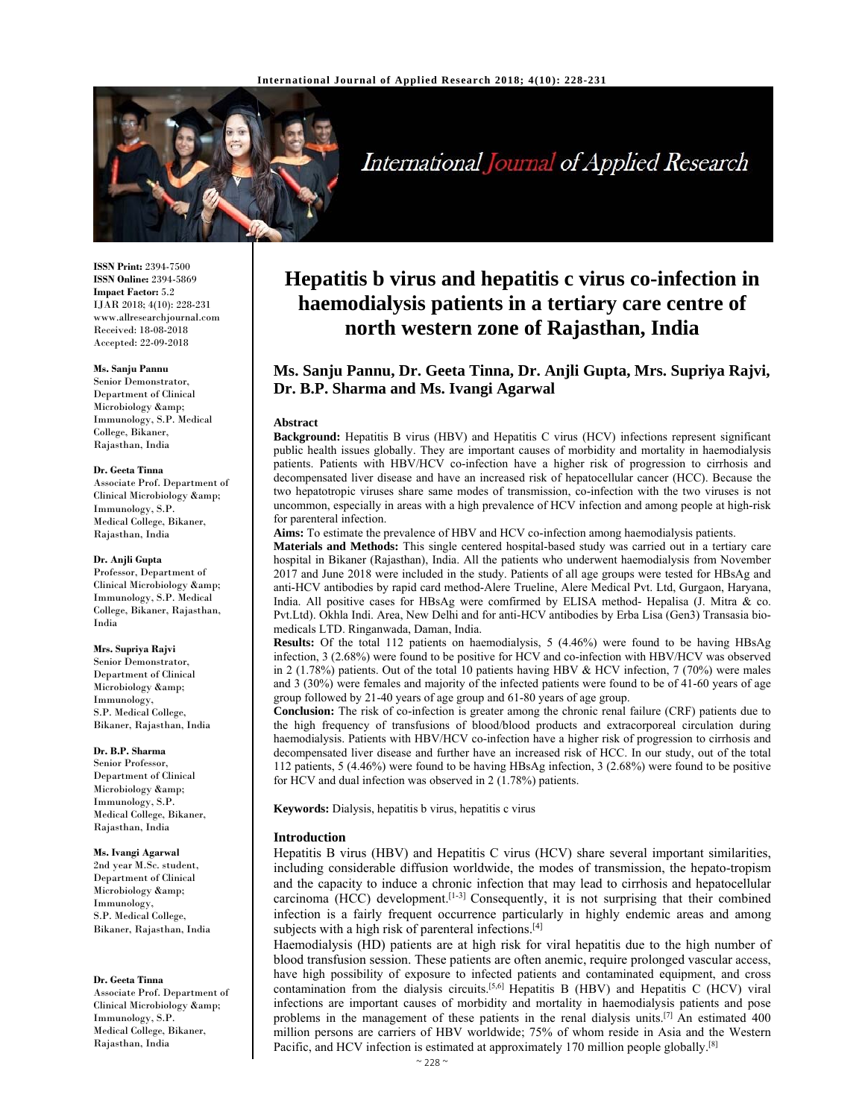

International Journal of Applied Research

**ISSN Print:** 2394-7500 **ISSN Online:** 2394-5869 **Impact Factor:** 5.2 IJAR 2018; 4(10): 228-231 www.allresearchjournal.com Received: 18-08-2018 Accepted: 22-09-2018

#### **Ms. Sanju Pannu**

Senior Demonstrator, Department of Clinical Microbiology &amp: Immunology, S.P. Medical College, Bikaner, Rajasthan, India

## **Dr. Geeta Tinna**

Associate Prof. Department of Clinical Microbiology & Immunology, S.P. Medical College, Bikaner, Rajasthan, India

#### **Dr. Anjli Gupta**

Professor, Department of Clinical Microbiology & Immunology, S.P. Medical College, Bikaner, Rajasthan, India

## **Mrs. Supriya Rajvi**

Senior Demonstrator, Department of Clinical Microbiology & Immunology, S.P. Medical College, Bikaner, Rajasthan, India

## **Dr. B.P. Sharma**

Senior Professor, Department of Clinical Microbiology & Immunology, S.P. Medical College, Bikaner, Rajasthan, India

#### **Ms. Ivangi Agarwal**

2nd year M.Sc. student, Department of Clinical Microbiology & Immunology, S.P. Medical College, Bikaner, Rajasthan, India

#### **Dr. Geeta Tinna**

Associate Prof. Department of Clinical Microbiology & Immunology, S.P. Medical College, Bikaner, Rajasthan, India

# **Hepatitis b virus and hepatitis c virus co-infection in haemodialysis patients in a tertiary care centre of north western zone of Rajasthan, India**

## **Ms. Sanju Pannu, Dr. Geeta Tinna, Dr. Anjli Gupta, Mrs. Supriya Rajvi, Dr. B.P. Sharma and Ms. Ivangi Agarwal**

#### **Abstract**

**Background:** Hepatitis B virus (HBV) and Hepatitis C virus (HCV) infections represent significant public health issues globally. They are important causes of morbidity and mortality in haemodialysis patients. Patients with HBV/HCV co-infection have a higher risk of progression to cirrhosis and decompensated liver disease and have an increased risk of hepatocellular cancer (HCC). Because the two hepatotropic viruses share same modes of transmission, co-infection with the two viruses is not uncommon, especially in areas with a high prevalence of HCV infection and among people at high-risk for parenteral infection.

## **Aims:** To estimate the prevalence of HBV and HCV co-infection among haemodialysis patients.

**Materials and Methods:** This single centered hospital-based study was carried out in a tertiary care hospital in Bikaner (Rajasthan), India. All the patients who underwent haemodialysis from November 2017 and June 2018 were included in the study. Patients of all age groups were tested for HBsAg and anti-HCV antibodies by rapid card method-Alere Trueline, Alere Medical Pvt. Ltd, Gurgaon, Haryana, India. All positive cases for HBsAg were comfirmed by ELISA method- Hepalisa (J. Mitra & co. Pvt.Ltd). Okhla Indi. Area, New Delhi and for anti-HCV antibodies by Erba Lisa (Gen3) Transasia biomedicals LTD. Ringanwada, Daman, India.

**Results:** Of the total 112 patients on haemodialysis, 5 (4.46%) were found to be having HBsAg infection, 3 (2.68%) were found to be positive for HCV and co-infection with HBV/HCV was observed in 2 (1.78%) patients. Out of the total 10 patients having HBV  $\&$  HCV infection, 7 (70%) were males and 3 (30%) were females and majority of the infected patients were found to be of 41-60 years of age group followed by 21-40 years of age group and 61-80 years of age group.

**Conclusion:** The risk of co-infection is greater among the chronic renal failure (CRF) patients due to the high frequency of transfusions of blood/blood products and extracorporeal circulation during haemodialysis. Patients with HBV/HCV co-infection have a higher risk of progression to cirrhosis and decompensated liver disease and further have an increased risk of HCC. In our study, out of the total 112 patients, 5 (4.46%) were found to be having HBsAg infection, 3 (2.68%) were found to be positive for HCV and dual infection was observed in 2 (1.78%) patients.

**Keywords:** Dialysis, hepatitis b virus, hepatitis c virus

## **Introduction**

Hepatitis B virus (HBV) and Hepatitis C virus (HCV) share several important similarities, including considerable diffusion worldwide, the modes of transmission, the hepato-tropism and the capacity to induce a chronic infection that may lead to cirrhosis and hepatocellular carcinoma (HCC) development.<sup>[1-3]</sup> Consequently, it is not surprising that their combined infection is a fairly frequent occurrence particularly in highly endemic areas and among subjects with a high risk of parenteral infections.<sup>[4]</sup>

Haemodialysis (HD) patients are at high risk for viral hepatitis due to the high number of blood transfusion session. These patients are often anemic, require prolonged vascular access, have high possibility of exposure to infected patients and contaminated equipment, and cross contamination from the dialysis circuits.<sup>[5,6]</sup> Hepatitis B (HBV) and Hepatitis C (HCV) viral infections are important causes of morbidity and mortality in haemodialysis patients and pose problems in the management of these patients in the renal dialysis units.<sup>[7]</sup> An estimated 400 million persons are carriers of HBV worldwide; 75% of whom reside in Asia and the Western Pacific, and HCV infection is estimated at approximately 170 million people globally.<sup>[8]</sup>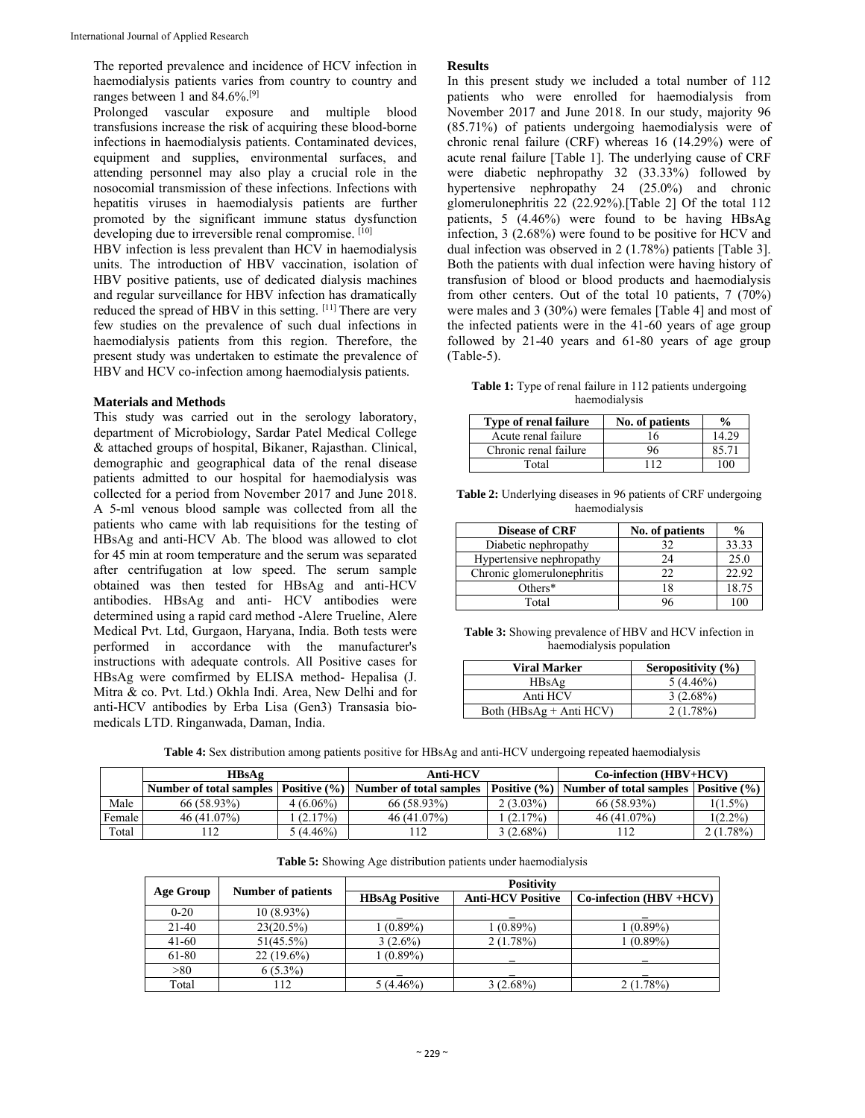The reported prevalence and incidence of HCV infection in haemodialysis patients varies from country to country and ranges between 1 and 84.6%.[9]

Prolonged vascular exposure and multiple blood transfusions increase the risk of acquiring these blood-borne infections in haemodialysis patients. Contaminated devices, equipment and supplies, environmental surfaces, and attending personnel may also play a crucial role in the nosocomial transmission of these infections. Infections with hepatitis viruses in haemodialysis patients are further promoted by the significant immune status dysfunction developing due to irreversible renal compromise. [10]

HBV infection is less prevalent than HCV in haemodialysis units. The introduction of HBV vaccination, isolation of HBV positive patients, use of dedicated dialysis machines and regular surveillance for HBV infection has dramatically reduced the spread of HBV in this setting. [11] There are very few studies on the prevalence of such dual infections in haemodialysis patients from this region. Therefore, the present study was undertaken to estimate the prevalence of HBV and HCV co-infection among haemodialysis patients.

## **Materials and Methods**

This study was carried out in the serology laboratory, department of Microbiology, Sardar Patel Medical College & attached groups of hospital, Bikaner, Rajasthan. Clinical, demographic and geographical data of the renal disease patients admitted to our hospital for haemodialysis was collected for a period from November 2017 and June 2018. A 5-ml venous blood sample was collected from all the patients who came with lab requisitions for the testing of HBsAg and anti-HCV Ab. The blood was allowed to clot for 45 min at room temperature and the serum was separated after centrifugation at low speed. The serum sample obtained was then tested for HBsAg and anti-HCV antibodies. HBsAg and anti- HCV antibodies were determined using a rapid card method -Alere Trueline, Alere Medical Pvt. Ltd, Gurgaon, Haryana, India. Both tests were performed in accordance with the manufacturer's instructions with adequate controls. All Positive cases for HBsAg were comfirmed by ELISA method- Hepalisa (J. Mitra & co. Pvt. Ltd.) Okhla Indi. Area, New Delhi and for anti-HCV antibodies by Erba Lisa (Gen3) Transasia biomedicals LTD. Ringanwada, Daman, India.

## **Results**

In this present study we included a total number of 112 patients who were enrolled for haemodialysis from November 2017 and June 2018. In our study, majority 96 (85.71%) of patients undergoing haemodialysis were of chronic renal failure (CRF) whereas 16 (14.29%) were of acute renal failure [Table 1]. The underlying cause of CRF were diabetic nephropathy 32 (33.33%) followed by hypertensive nephropathy 24 (25.0%) and chronic glomerulonephritis 22 (22.92%).[Table 2] Of the total 112 patients, 5 (4.46%) were found to be having HBsAg infection, 3 (2.68%) were found to be positive for HCV and dual infection was observed in 2 (1.78%) patients [Table 3]. Both the patients with dual infection were having history of transfusion of blood or blood products and haemodialysis from other centers. Out of the total 10 patients, 7 (70%) were males and 3 (30%) were females [Table 4] and most of the infected patients were in the 41-60 years of age group followed by 21-40 years and 61-80 years of age group (Table-5).

Table 1: Type of renal failure in 112 patients undergoing haemodialysis

| <b>Type of renal failure</b> | No. of patients | $\frac{0}{0}$ |
|------------------------------|-----------------|---------------|
| Acute renal failure          | 16              | 14.29         |
| Chronic renal failure        | 96              | 8571          |
| Total                        |                 | 100           |

**Table 2:** Underlying diseases in 96 patients of CRF undergoing haemodialysis

| <b>Disease of CRF</b>      | No. of patients | $\frac{6}{9}$ |
|----------------------------|-----------------|---------------|
| Diabetic nephropathy       | 32              | 33.33         |
| Hypertensive nephropathy   | 24              | 25.0          |
| Chronic glomerulonephritis | つつ              | 22.92         |
| Others*                    | 18              | 18.75         |
| Total                      | 96              | 100           |

**Table 3:** Showing prevalence of HBV and HCV infection in haemodialysis population

| <b>Viral Marker</b>       | Seropositivity $(\% )$ |
|---------------------------|------------------------|
| HBsAg                     | $5(4.46\%)$            |
| Anti HCV                  | $3(2.68\%)$            |
| Both $(HBsAg + Anti HCV)$ | $2(1.78\%)$            |

|  |  |  |  | <b>Table 4:</b> Sex distribution among patients positive for HBsAg and anti-HCV undergoing repeated haemodialysis |  |
|--|--|--|--|-------------------------------------------------------------------------------------------------------------------|--|
|  |  |  |  |                                                                                                                   |  |
|  |  |  |  |                                                                                                                   |  |
|  |  |  |  |                                                                                                                   |  |

|        | HBsAg                                      |             | Anti-HCV                |             | $Co\text{-}inflection (HBV+HCV)$                              |            |
|--------|--------------------------------------------|-------------|-------------------------|-------------|---------------------------------------------------------------|------------|
|        | Number of total samples   Positive $(\% )$ |             | Number of total samples |             | Positive $(\% )$   Number of total samples   Positive $(\% )$ |            |
| Male   | 66 (58.93%)                                | $4(6.06\%)$ | 66 (58.93%)             | $2(3.03\%)$ | 66 (58.93%)                                                   | $1(1.5\%)$ |
| Female | 46 (41.07%)                                | $(2.17\%)$  | 46(41.07%)              | $(2.17\%)$  | 46 (41.07%)                                                   | $1(2.2\%)$ |
| Total  |                                            | $5(4.46\%)$ |                         | $(2.68\%)$  |                                                               | $1.78\%)$  |

**Table 5:** Showing Age distribution patients under haemodialysis

|           | <b>Number of patients</b> | <b>Positivity</b>     |                          |                                  |  |
|-----------|---------------------------|-----------------------|--------------------------|----------------------------------|--|
| Age Group |                           | <b>HBsAg Positive</b> | <b>Anti-HCV Positive</b> | $Co\text{-}infection (HBV +HCV)$ |  |
| $0 - 20$  | $10(8.93\%)$              |                       |                          |                                  |  |
| $21 - 40$ | 23(20.5%)                 | $(0.89\%)$            | $1(0.89\%)$              | $(0.89\%)$                       |  |
| $41 - 60$ | $51(45.5\%)$              | $3(2.6\%)$            | 2(1.78%)                 | $1(0.89\%)$                      |  |
| 61-80     | $22(19.6\%)$              | $(0.89\%)$            |                          |                                  |  |
| >80       | $6(5.3\%)$                |                       |                          |                                  |  |
| Total     | 112                       | $5(4.46\%)$           | $3(2.68\%)$              | 2(1.78%)                         |  |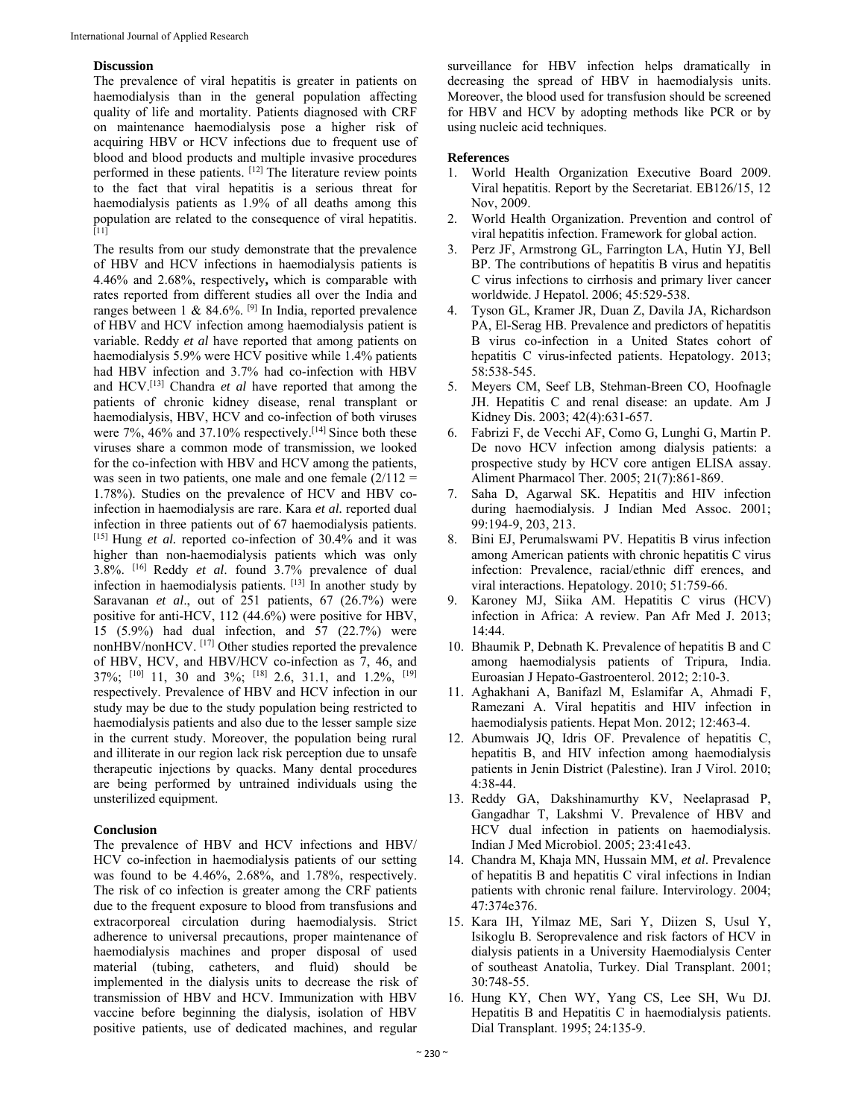## **Discussion**

The prevalence of viral hepatitis is greater in patients on haemodialysis than in the general population affecting quality of life and mortality. Patients diagnosed with CRF on maintenance haemodialysis pose a higher risk of acquiring HBV or HCV infections due to frequent use of blood and blood products and multiple invasive procedures performed in these patients. [12] The literature review points to the fact that viral hepatitis is a serious threat for haemodialysis patients as 1.9% of all deaths among this population are related to the consequence of viral hepatitis.

The results from our study demonstrate that the prevalence of HBV and HCV infections in haemodialysis patients is 4.46% and 2.68%, respectively**,** which is comparable with rates reported from different studies all over the India and ranges between 1 & 84.6%. [9] In India, reported prevalence of HBV and HCV infection among haemodialysis patient is variable. Reddy *et al* have reported that among patients on haemodialysis 5.9% were HCV positive while 1.4% patients had HBV infection and 3.7% had co-infection with HBV and HCV.[13] Chandra *et al* have reported that among the patients of chronic kidney disease, renal transplant or haemodialysis, HBV, HCV and co-infection of both viruses were 7%, 46% and 37.10% respectively.<sup>[14]</sup> Since both these viruses share a common mode of transmission, we looked for the co-infection with HBV and HCV among the patients, was seen in two patients, one male and one female  $(2/112 =$ 1.78%). Studies on the prevalence of HCV and HBV coinfection in haemodialysis are rare. Kara *et al.* reported dual infection in three patients out of 67 haemodialysis patients. [15] Hung *et al.* reported co-infection of 30.4% and it was higher than non-haemodialysis patients which was only 3.8%. [16] Reddy *et al*. found 3.7% prevalence of dual infection in haemodialysis patients.  $[13]$  In another study by Saravanan *et al*., out of 251 patients, 67 (26.7%) were positive for anti-HCV, 112 (44.6%) were positive for HBV, 15 (5.9%) had dual infection, and  $\overline{57}$  (22.7%) were nonHBV/nonHCV. [17] Other studies reported the prevalence of HBV, HCV, and HBV/HCV co-infection as 7, 46, and 37%; [10] 11, 30 and 3%; [18] 2.6, 31.1, and 1.2%, [19] respectively. Prevalence of HBV and HCV infection in our study may be due to the study population being restricted to haemodialysis patients and also due to the lesser sample size in the current study. Moreover, the population being rural and illiterate in our region lack risk perception due to unsafe therapeutic injections by quacks. Many dental procedures are being performed by untrained individuals using the unsterilized equipment.

## **Conclusion**

The prevalence of HBV and HCV infections and HBV/ HCV co-infection in haemodialysis patients of our setting was found to be 4.46%, 2.68%, and 1.78%, respectively. The risk of co infection is greater among the CRF patients due to the frequent exposure to blood from transfusions and extracorporeal circulation during haemodialysis. Strict adherence to universal precautions, proper maintenance of haemodialysis machines and proper disposal of used material (tubing, catheters, and fluid) should be implemented in the dialysis units to decrease the risk of transmission of HBV and HCV. Immunization with HBV vaccine before beginning the dialysis, isolation of HBV positive patients, use of dedicated machines, and regular

surveillance for HBV infection helps dramatically in decreasing the spread of HBV in haemodialysis units. Moreover, the blood used for transfusion should be screened for HBV and HCV by adopting methods like PCR or by using nucleic acid techniques.

## **References**

- 1. World Health Organization Executive Board 2009. Viral hepatitis. Report by the Secretariat. EB126/15, 12 Nov, 2009.
- 2. World Health Organization. Prevention and control of viral hepatitis infection. Framework for global action.
- 3. Perz JF, Armstrong GL, Farrington LA, Hutin YJ, Bell BP. The contributions of hepatitis B virus and hepatitis C virus infections to cirrhosis and primary liver cancer worldwide. J Hepatol. 2006; 45:529-538.
- 4. Tyson GL, Kramer JR, Duan Z, Davila JA, Richardson PA, El-Serag HB. Prevalence and predictors of hepatitis B virus co-infection in a United States cohort of hepatitis C virus-infected patients. Hepatology. 2013; 58:538-545.
- 5. Meyers CM, Seef LB, Stehman-Breen CO, Hoofnagle JH. Hepatitis C and renal disease: an update. Am J Kidney Dis. 2003; 42(4):631-657.
- 6. Fabrizi F, de Vecchi AF, Como G, Lunghi G, Martin P. De novo HCV infection among dialysis patients: a prospective study by HCV core antigen ELISA assay. Aliment Pharmacol Ther. 2005; 21(7):861-869.
- 7. Saha D, Agarwal SK. Hepatitis and HIV infection during haemodialysis. J Indian Med Assoc. 2001; 99:194-9, 203, 213.
- 8. Bini EJ, Perumalswami PV. Hepatitis B virus infection among American patients with chronic hepatitis C virus infection: Prevalence, racial/ethnic diff erences, and viral interactions. Hepatology. 2010; 51:759-66.
- 9. Karoney MJ, Siika AM. Hepatitis C virus (HCV) infection in Africa: A review. Pan Afr Med J. 2013; 14:44.
- 10. Bhaumik P, Debnath K. Prevalence of hepatitis B and C among haemodialysis patients of Tripura, India. Euroasian J Hepato-Gastroenterol. 2012; 2:10-3.
- 11. Aghakhani A, Banifazl M, Eslamifar A, Ahmadi F, Ramezani A. Viral hepatitis and HIV infection in haemodialysis patients. Hepat Mon. 2012; 12:463-4.
- 12. Abumwais JQ, Idris OF. Prevalence of hepatitis C, hepatitis B, and HIV infection among haemodialysis patients in Jenin District (Palestine). Iran J Virol. 2010; 4:38-44.
- 13. Reddy GA, Dakshinamurthy KV, Neelaprasad P, Gangadhar T, Lakshmi V. Prevalence of HBV and HCV dual infection in patients on haemodialysis. Indian J Med Microbiol. 2005; 23:41e43.
- 14. Chandra M, Khaja MN, Hussain MM, *et al*. Prevalence of hepatitis B and hepatitis C viral infections in Indian patients with chronic renal failure. Intervirology. 2004; 47:374e376.
- 15. Kara IH, Yilmaz ME, Sari Y, Diizen S, Usul Y, Isikoglu B. Seroprevalence and risk factors of HCV in dialysis patients in a University Haemodialysis Center of southeast Anatolia, Turkey. Dial Transplant. 2001; 30:748-55.
- 16. Hung KY, Chen WY, Yang CS, Lee SH, Wu DJ. Hepatitis B and Hepatitis C in haemodialysis patients. Dial Transplant. 1995; 24:135-9.